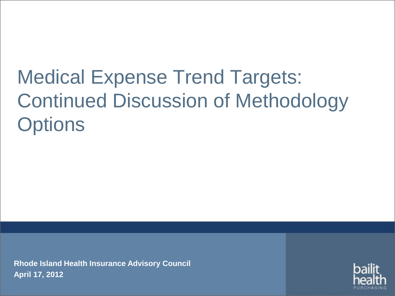# Medical Expense Trend Targets: Continued Discussion of Methodology **Options**

**Rhode Island Health Insurance Advisory Council April 17, 2012**

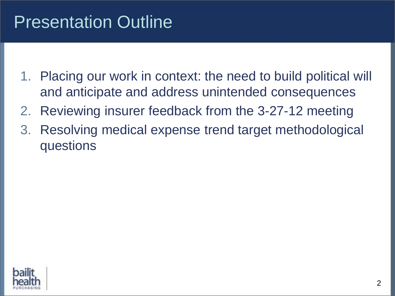### Presentation Outline

- 1. Placing our work in context: the need to build political will and anticipate and address unintended consequences
- 2. Reviewing insurer feedback from the 3-27-12 meeting
- 3. Resolving medical expense trend target methodological questions

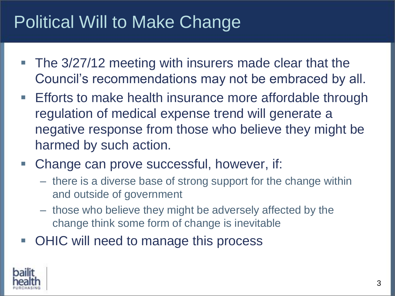### Political Will to Make Change

- The 3/27/12 meeting with insurers made clear that the Council's recommendations may not be embraced by all.
- **Efforts to make health insurance more affordable through** regulation of medical expense trend will generate a negative response from those who believe they might be harmed by such action.
- Change can prove successful, however, if:
	- there is a diverse base of strong support for the change within and outside of government
	- those who believe they might be adversely affected by the change think some form of change is inevitable
- OHIC will need to manage this process

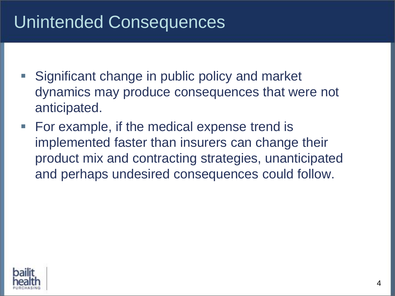### Unintended Consequences

- **Significant change in public policy and market** dynamics may produce consequences that were not anticipated.
- For example, if the medical expense trend is implemented faster than insurers can change their product mix and contracting strategies, unanticipated and perhaps undesired consequences could follow.

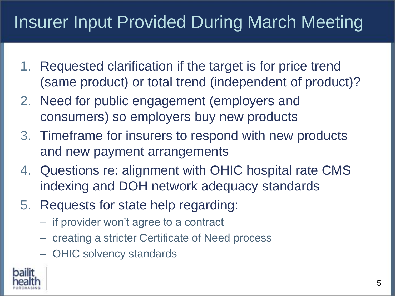## Insurer Input Provided During March Meeting

- 1. Requested clarification if the target is for price trend (same product) or total trend (independent of product)?
- 2. Need for public engagement (employers and consumers) so employers buy new products
- 3. Timeframe for insurers to respond with new products and new payment arrangements
- 4. Questions re: alignment with OHIC hospital rate CMS indexing and DOH network adequacy standards
- 5. Requests for state help regarding:
	- if provider won't agree to a contract
	- creating a stricter Certificate of Need process
	- OHIC solvency standards

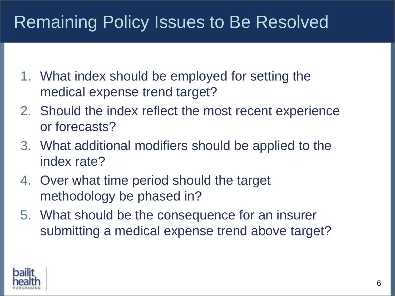### Remaining Policy Issues to Be Resolved

- 1. What index should be employed for setting the medical expense trend target?
- 2. Should the index reflect the most recent experience or forecasts?
- 3. What additional modifiers should be applied to the index rate?
- 4. Over what time period should the target methodology be phased in?
- 5. What should be the consequence for an insurer submitting a medical expense trend above target?

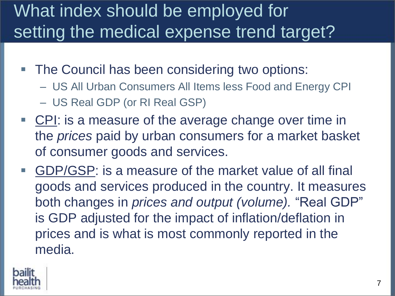### What index should be employed for setting the medical expense trend target?

- **The Council has been considering two options:** 
	- US All Urban Consumers All Items less Food and Energy CPI
	- US Real GDP (or RI Real GSP)
- CPI: is a measure of the average change over time in the *prices* paid by urban consumers for a market basket of consumer goods and services.
- GDP/GSP: is a measure of the market value of all final goods and services produced in the country. It measures both changes in *prices and output (volume).* "Real GDP" is GDP adjusted for the impact of inflation/deflation in prices and is what is most commonly reported in the media.

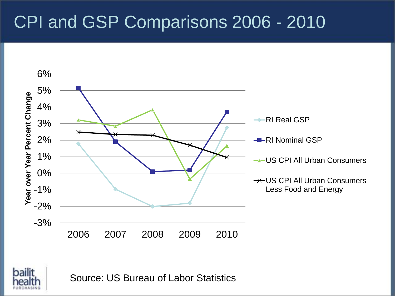### CPI and GSP Comparisons 2006 - 2010



Source: US Bureau of Labor Statistics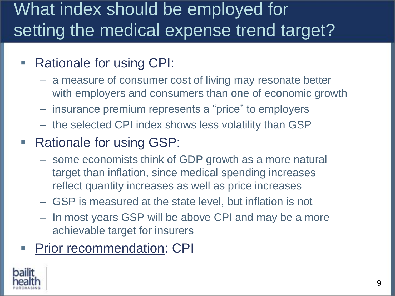### What index should be employed for setting the medical expense trend target?

#### Rationale for using CPI:

- a measure of consumer cost of living may resonate better with employers and consumers than one of economic growth
- insurance premium represents a "price" to employers
- the selected CPI index shows less volatility than GSP

#### Rationale for using GSP:

- some economists think of GDP growth as a more natural target than inflation, since medical spending increases reflect quantity increases as well as price increases
- GSP is measured at the state level, but inflation is not
- In most years GSP will be above CPI and may be a more achievable target for insurers

#### Prior recommendation: CPI

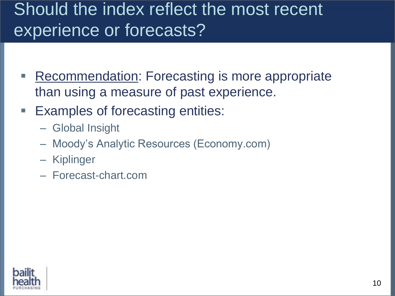### Should the index reflect the most recent experience or forecasts?

- Recommendation: Forecasting is more appropriate than using a measure of past experience.
- Examples of forecasting entities:
	- Global Insight
	- Moody's Analytic Resources (Economy.com)
	- Kiplinger
	- Forecast-chart.com

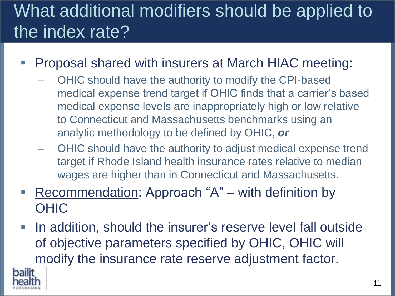## What additional modifiers should be applied to the index rate?

- Proposal shared with insurers at March HIAC meeting:
	- OHIC should have the authority to modify the CPI-based medical expense trend target if OHIC finds that a carrier's based medical expense levels are inappropriately high or low relative to Connecticut and Massachusetts benchmarks using an analytic methodology to be defined by OHIC, *or*
	- OHIC should have the authority to adjust medical expense trend target if Rhode Island health insurance rates relative to median wages are higher than in Connecticut and Massachusetts.
- Recommendation: Approach "A" with definition by OHIC
- In addition, should the insurer's reserve level fall outside of objective parameters specified by OHIC, OHIC will modify the insurance rate reserve adjustment factor.

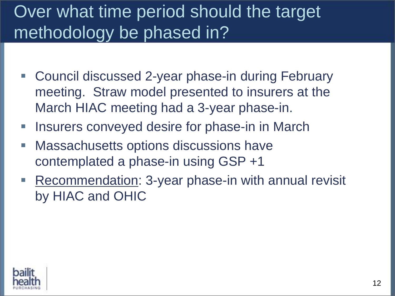### Over what time period should the target methodology be phased in?

- Council discussed 2-year phase-in during February meeting. Straw model presented to insurers at the March HIAC meeting had a 3-year phase-in.
- **Insurers conveyed desire for phase-in in March**
- **Massachusetts options discussions have** contemplated a phase-in using GSP +1
- Recommendation: 3-year phase-in with annual revisit by HIAC and OHIC

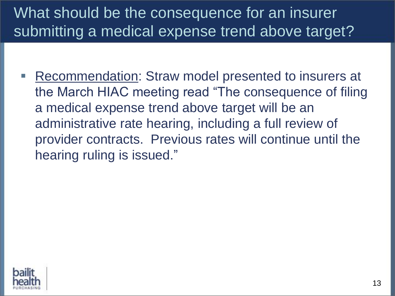### What should be the consequence for an insurer submitting a medical expense trend above target?

 Recommendation: Straw model presented to insurers at the March HIAC meeting read "The consequence of filing a medical expense trend above target will be an administrative rate hearing, including a full review of provider contracts. Previous rates will continue until the hearing ruling is issued."

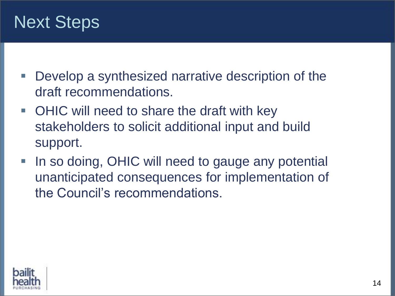### Next Steps

- Develop a synthesized narrative description of the draft recommendations.
- OHIC will need to share the draft with key stakeholders to solicit additional input and build support.
- In so doing, OHIC will need to gauge any potential unanticipated consequences for implementation of the Council's recommendations.